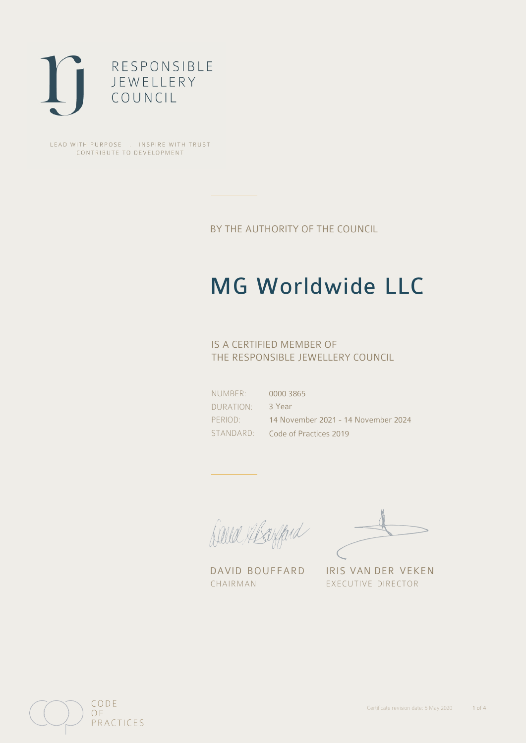

LEAD WITH PURPOSE . INSPIRE WITH TRUST CONTRIBUTE TO DEVELOPMENT

BY THE AUTHORITY OF THE COUNCIL

# MG Worldwide LLC

## IS A CERTIFIED MEMBER OF THE RESPONSIBLE JEWELLERY COUNCIL

NUMBER: DURATION: PERIOD: STANDARD: 0000 3865 3 Year 14 November 2021 - 14 November 2024 Code of Practices 2019

Caux Margaret

DAVID BOUFFARD IRIS VAN DER VEKEN CHAIRMAN EXECUTIVE DIRECTOR

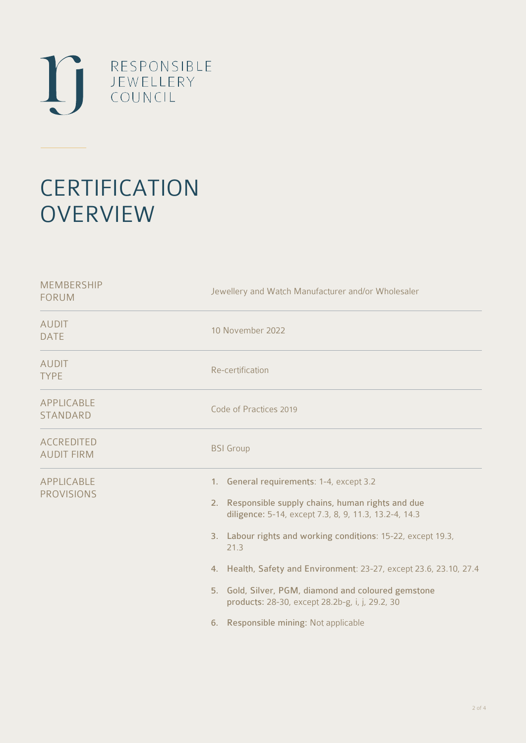

# **CERTIFICATION OVERVIEW**

| <b>MEMBERSHIP</b><br><b>FORUM</b>      | Jewellery and Watch Manufacturer and/or Wholesaler                                                                                                                                                                                                                                                                                                                                                                                                       |
|----------------------------------------|----------------------------------------------------------------------------------------------------------------------------------------------------------------------------------------------------------------------------------------------------------------------------------------------------------------------------------------------------------------------------------------------------------------------------------------------------------|
| <b>AUDIT</b><br><b>DATE</b>            | 10 November 2022                                                                                                                                                                                                                                                                                                                                                                                                                                         |
| <b>AUDIT</b><br><b>TYPE</b>            | Re-certification                                                                                                                                                                                                                                                                                                                                                                                                                                         |
| APPLICABLE<br><b>STANDARD</b>          | Code of Practices 2019                                                                                                                                                                                                                                                                                                                                                                                                                                   |
| <b>ACCREDITED</b><br><b>AUDIT FIRM</b> | <b>BSI</b> Group                                                                                                                                                                                                                                                                                                                                                                                                                                         |
| <b>APPLICABLE</b><br><b>PROVISIONS</b> | 1. General requirements: 1-4, except 3.2<br>2. Responsible supply chains, human rights and due<br>diligence: 5-14, except 7.3, 8, 9, 11.3, 13.2-4, 14.3<br>3. Labour rights and working conditions: 15-22, except 19.3,<br>21.3<br>4. Health, Safety and Environment: 23-27, except 23.6, 23.10, 27.4<br>5. Gold, Silver, PGM, diamond and coloured gemstone<br>products: 28-30, except 28.2b-g, i, j, 29.2, 30<br>6. Responsible mining: Not applicable |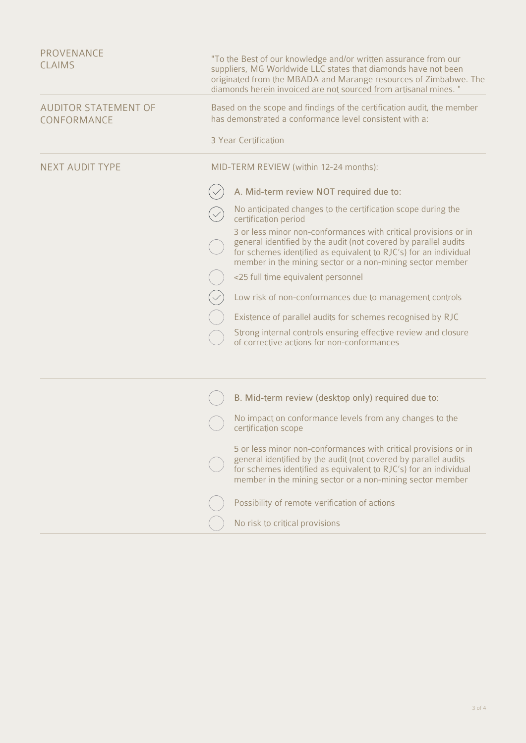| PROVENANCE<br><b>CLAIMS</b>                | "To the Best of our knowledge and/or written assurance from our<br>suppliers, MG Worldwide LLC states that diamonds have not been<br>originated from the MBADA and Marange resources of Zimbabwe. The<br>diamonds herein invoiced are not sourced from artisanal mines. " |
|--------------------------------------------|---------------------------------------------------------------------------------------------------------------------------------------------------------------------------------------------------------------------------------------------------------------------------|
| <b>AUDITOR STATEMENT OF</b><br>CONFORMANCE | Based on the scope and findings of the certification audit, the member<br>has demonstrated a conformance level consistent with a:                                                                                                                                         |
|                                            | 3 Year Certification                                                                                                                                                                                                                                                      |
| <b>NEXT AUDIT TYPE</b>                     | MID-TERM REVIEW (within 12-24 months):                                                                                                                                                                                                                                    |
|                                            | A. Mid-term review NOT required due to:                                                                                                                                                                                                                                   |
|                                            | No anticipated changes to the certification scope during the<br>certification period                                                                                                                                                                                      |
|                                            | 3 or less minor non-conformances with critical provisions or in<br>general identified by the audit (not covered by parallel audits<br>for schemes identified as equivalent to RJC's) for an individual<br>member in the mining sector or a non-mining sector member       |
|                                            | <25 full time equivalent personnel                                                                                                                                                                                                                                        |
|                                            | Low risk of non-conformances due to management controls                                                                                                                                                                                                                   |
|                                            | Existence of parallel audits for schemes recognised by RJC                                                                                                                                                                                                                |
|                                            | Strong internal controls ensuring effective review and closure<br>of corrective actions for non-conformances                                                                                                                                                              |
|                                            |                                                                                                                                                                                                                                                                           |
|                                            | B. Mid-term review (desktop only) required due to:                                                                                                                                                                                                                        |
|                                            | No impact on conformance levels from any changes to the<br>certification scope                                                                                                                                                                                            |
|                                            | 5 or less minor non-conformances with critical provisions or in<br>general identified by the audit (not covered by parallel audits<br>for schemes identified as equivalent to RJC's) for an individual<br>member in the mining sector or a non-mining sector member       |
|                                            | Possibility of remote verification of actions                                                                                                                                                                                                                             |
|                                            | No risk to critical provisions                                                                                                                                                                                                                                            |